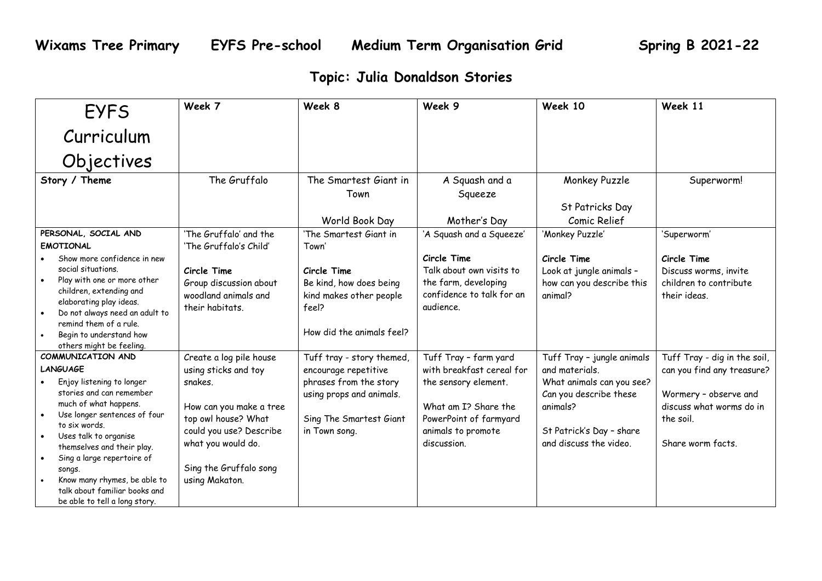## **Topic: Julia Donaldson Stories**

| <b>EYFS</b>                                                                                                                                                                                                                                                                                                                                                                           | Week 7                                                                                                                                                                                                    | Week 8                                                                                                                                              | Week 9                                                                                                                                                            | Week 10                                                                                                                                                               | Week 11                                                                                                                                           |
|---------------------------------------------------------------------------------------------------------------------------------------------------------------------------------------------------------------------------------------------------------------------------------------------------------------------------------------------------------------------------------------|-----------------------------------------------------------------------------------------------------------------------------------------------------------------------------------------------------------|-----------------------------------------------------------------------------------------------------------------------------------------------------|-------------------------------------------------------------------------------------------------------------------------------------------------------------------|-----------------------------------------------------------------------------------------------------------------------------------------------------------------------|---------------------------------------------------------------------------------------------------------------------------------------------------|
| Curriculum                                                                                                                                                                                                                                                                                                                                                                            |                                                                                                                                                                                                           |                                                                                                                                                     |                                                                                                                                                                   |                                                                                                                                                                       |                                                                                                                                                   |
| Objectives                                                                                                                                                                                                                                                                                                                                                                            |                                                                                                                                                                                                           |                                                                                                                                                     |                                                                                                                                                                   |                                                                                                                                                                       |                                                                                                                                                   |
| Story / Theme                                                                                                                                                                                                                                                                                                                                                                         | The Gruffalo                                                                                                                                                                                              | The Smartest Giant in<br>Town<br>World Book Day                                                                                                     | A Squash and a<br>Squeeze<br>Mother's Day                                                                                                                         | Monkey Puzzle<br>St Patricks Day<br>Comic Relief                                                                                                                      | Superworm!                                                                                                                                        |
| PERSONAL, SOCIAL AND<br><b>EMOTIONAL</b><br>Show more confidence in new<br>social situations.<br>Play with one or more other<br>$\bullet$<br>children, extending and<br>elaborating play ideas.<br>Do not always need an adult to<br>$\bullet$<br>remind them of a rule.<br>Begin to understand how<br>others might be feeling.                                                       | 'The Gruffalo' and the<br>'The Gruffalo's Child'<br>Circle Time<br>Group discussion about<br>woodland animals and<br>their habitats.                                                                      | 'The Smartest Giant in<br>Town'<br>Circle Time<br>Be kind, how does being<br>kind makes other people<br>feel?<br>How did the animals feel?          | 'A Squash and a Squeeze'<br>Circle Time<br>Talk about own visits to<br>the farm, developing<br>confidence to talk for an<br>audience.                             | 'Monkey Puzzle'<br>Circle Time<br>Look at jungle animals -<br>how can you describe this<br>animal?                                                                    | 'Superworm'<br>Circle Time<br>Discuss worms, invite<br>children to contribute<br>their ideas.                                                     |
| COMMUNICATION AND<br><b>LANGUAGE</b><br>Enjoy listening to longer<br>stories and can remember<br>much of what happens.<br>Use longer sentences of four<br>to six words.<br>Uses talk to organise<br>themselves and their play.<br>Sing a large repertoire of<br>$\bullet$<br>songs.<br>Know many rhymes, be able to<br>talk about familiar books and<br>be able to tell a long story. | Create a log pile house<br>using sticks and toy<br>snakes.<br>How can you make a tree<br>top owl house? What<br>could you use? Describe<br>what you would do.<br>Sing the Gruffalo song<br>using Makaton. | Tuff tray - story themed,<br>encourage repetitive<br>phrases from the story<br>using props and animals.<br>Sing The Smartest Giant<br>in Town song. | Tuff Tray - farm yard<br>with breakfast cereal for<br>the sensory element.<br>What am I? Share the<br>PowerPoint of farmyard<br>animals to promote<br>discussion. | Tuff Tray - jungle animals<br>and materials.<br>What animals can you see?<br>Can you describe these<br>animals?<br>St Patrick's Day - share<br>and discuss the video. | Tuff Tray - dig in the soil,<br>can you find any treasure?<br>Wormery - observe and<br>discuss what worms do in<br>the soil.<br>Share worm facts. |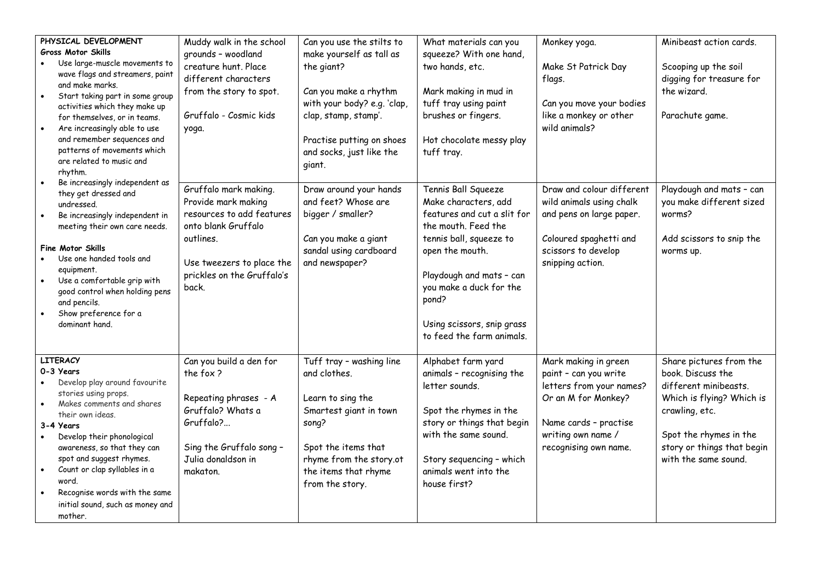| PHYSICAL DEVELOPMENT<br>Gross Motor Skills<br>Use large-muscle movements to<br>wave flags and streamers, paint<br>and make marks.<br>Start taking part in some group<br>$\bullet$<br>activities which they make up<br>for themselves, or in teams.<br>Are increasingly able to use<br>and remember sequences and<br>patterns of movements which<br>are related to music and<br>rhythm.<br>Be increasingly independent as | Muddy walk in the school<br>grounds - woodland<br>creature hunt. Place<br>different characters<br>from the story to spot.<br>Gruffalo - Cosmic kids<br>yoga.                      | Can you use the stilts to<br>make yourself as tall as<br>the giant?<br>Can you make a rhythm<br>with your body? e.g. 'clap,<br>clap, stamp, stamp'.<br>Practise putting on shoes<br>and socks, just like the<br>giant. | What materials can you<br>squeeze? With one hand,<br>two hands, etc.<br>Mark making in mud in<br>tuff tray using paint<br>brushes or fingers.<br>Hot chocolate messy play<br>tuff tray.                                                                                    | Monkey yoga.<br>Make St Patrick Day<br>flags.<br>Can you move your bodies<br>like a monkey or other<br>wild animals?                                                     | Minibeast action cards.<br>Scooping up the soil<br>digging for treasure for<br>the wizard.<br>Parachute game.                                                                                        |
|--------------------------------------------------------------------------------------------------------------------------------------------------------------------------------------------------------------------------------------------------------------------------------------------------------------------------------------------------------------------------------------------------------------------------|-----------------------------------------------------------------------------------------------------------------------------------------------------------------------------------|------------------------------------------------------------------------------------------------------------------------------------------------------------------------------------------------------------------------|----------------------------------------------------------------------------------------------------------------------------------------------------------------------------------------------------------------------------------------------------------------------------|--------------------------------------------------------------------------------------------------------------------------------------------------------------------------|------------------------------------------------------------------------------------------------------------------------------------------------------------------------------------------------------|
| they get dressed and<br>undressed.<br>Be increasingly independent in<br>meeting their own care needs.<br><b>Fine Motor Skills</b><br>Use one handed tools and<br>equipment.<br>Use a comfortable grip with<br>good control when holding pens<br>and pencils.<br>Show preference for a<br>dominant hand.                                                                                                                  | Gruffalo mark making.<br>Provide mark making<br>resources to add features<br>onto blank Gruffalo<br>outlines.<br>Use tweezers to place the<br>prickles on the Gruffalo's<br>back. | Draw around your hands<br>and feet? Whose are<br>bigger / smaller?<br>Can you make a giant<br>sandal using cardboard<br>and newspaper?                                                                                 | Tennis Ball Squeeze<br>Make characters, add<br>features and cut a slit for<br>the mouth. Feed the<br>tennis ball, squeeze to<br>open the mouth.<br>Playdough and mats - can<br>you make a duck for the<br>pond?<br>Using scissors, snip grass<br>to feed the farm animals. | Draw and colour different<br>wild animals using chalk<br>and pens on large paper.<br>Coloured spaghetti and<br>scissors to develop<br>snipping action.                   | Playdough and mats - can<br>you make different sized<br>worms?<br>Add scissors to snip the<br>worms up.                                                                                              |
| <b>LITERACY</b><br>0-3 Years<br>Develop play around favourite<br>stories using props.<br>Makes comments and shares<br>their own ideas.<br>3-4 Years<br>Develop their phonological<br>awareness, so that they can<br>spot and suggest rhymes.<br>Count or clap syllables in a<br>$\bullet$<br>word.<br>Recognise words with the same<br>initial sound, such as money and<br>mother.                                       | Can you build a den for<br>the fox?<br>Repeating phrases - A<br>Gruffalo? Whats a<br>Gruffalo?<br>Sing the Gruffalo song -<br>Julia donaldson in<br>makaton.                      | Tuff tray - washing line<br>and clothes.<br>Learn to sing the<br>Smartest giant in town<br>song?<br>Spot the items that<br>rhyme from the story.ot<br>the items that rhyme<br>from the story.                          | Alphabet farm yard<br>animals - recognising the<br>letter sounds.<br>Spot the rhymes in the<br>story or things that begin<br>with the same sound.<br>Story sequencing - which<br>animals went into the<br>house first?                                                     | Mark making in green<br>paint - can you write<br>letters from your names?<br>Or an M for Monkey?<br>Name cards - practise<br>writing own name /<br>recognising own name. | Share pictures from the<br>book. Discuss the<br>different minibeasts.<br>Which is flying? Which is<br>crawling, etc.<br>Spot the rhymes in the<br>story or things that begin<br>with the same sound. |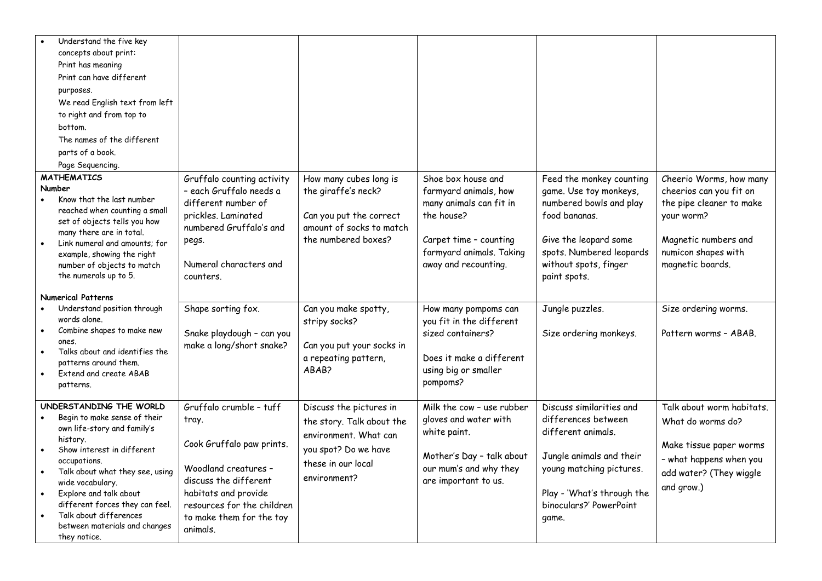| Understand the five key<br>concepts about print:<br>Print has meaning<br>Print can have different<br>purposes.<br>We read English text from left<br>to right and from top to<br>bottom.                                                                                                                                                         |                                                                                                                                                                                                              |                                                                                                                                             |                                                                                                                                                                    |                                                                                                                                                                                                 |                                                                                                                                                                 |
|-------------------------------------------------------------------------------------------------------------------------------------------------------------------------------------------------------------------------------------------------------------------------------------------------------------------------------------------------|--------------------------------------------------------------------------------------------------------------------------------------------------------------------------------------------------------------|---------------------------------------------------------------------------------------------------------------------------------------------|--------------------------------------------------------------------------------------------------------------------------------------------------------------------|-------------------------------------------------------------------------------------------------------------------------------------------------------------------------------------------------|-----------------------------------------------------------------------------------------------------------------------------------------------------------------|
| The names of the different<br>parts of a book.<br>Page Sequencing.                                                                                                                                                                                                                                                                              |                                                                                                                                                                                                              |                                                                                                                                             |                                                                                                                                                                    |                                                                                                                                                                                                 |                                                                                                                                                                 |
| <b>MATHEMATICS</b><br>Number<br>Know that the last number<br>reached when counting a small<br>set of objects tells you how<br>many there are in total.<br>Link numeral and amounts; for<br>example, showing the right<br>number of objects to match<br>the numerals up to 5.                                                                    | Gruffalo counting activity<br>- each Gruffalo needs a<br>different number of<br>prickles. Laminated<br>numbered Gruffalo's and<br>pegs.<br>Numeral characters and<br>counters.                               | How many cubes long is<br>the giraffe's neck?<br>Can you put the correct<br>amount of socks to match<br>the numbered boxes?                 | Shoe box house and<br>farmyard animals, how<br>many animals can fit in<br>the house?<br>Carpet time - counting<br>farmyard animals. Taking<br>away and recounting. | Feed the monkey counting<br>game. Use toy monkeys,<br>numbered bowls and play<br>food bananas.<br>Give the leopard some<br>spots. Numbered leopards<br>without spots, finger<br>paint spots.    | Cheerio Worms, how many<br>cheerios can you fit on<br>the pipe cleaner to make<br>your worm?<br>Magnetic numbers and<br>numicon shapes with<br>magnetic boards. |
| <b>Numerical Patterns</b><br>Understand position through<br>words alone.<br>Combine shapes to make new<br>ones.<br>Talks about and identifies the<br>patterns around them.<br>Extend and create ABAB<br>patterns.                                                                                                                               | Shape sorting fox.<br>Snake playdough - can you<br>make a long/short snake?                                                                                                                                  | Can you make spotty,<br>stripy socks?<br>Can you put your socks in<br>a repeating pattern,<br>ABAB?                                         | How many pompoms can<br>you fit in the different<br>sized containers?<br>Does it make a different<br>using big or smaller<br>pompoms?                              | Jungle puzzles.<br>Size ordering monkeys.                                                                                                                                                       | Size ordering worms.<br>Pattern worms - ABAB.                                                                                                                   |
| UNDERSTANDING THE WORLD<br>Begin to make sense of their<br>own life-story and family's<br>history.<br>Show interest in different<br>occupations.<br>Talk about what they see, using<br>wide vocabulary.<br>Explore and talk about<br>different forces they can feel.<br>Talk about differences<br>between materials and changes<br>they notice. | Gruffalo crumble - tuff<br>tray.<br>Cook Gruffalo paw prints.<br>Woodland creatures -<br>discuss the different<br>habitats and provide<br>resources for the children<br>to make them for the toy<br>animals. | Discuss the pictures in<br>the story. Talk about the<br>environment. What can<br>you spot? Do we have<br>these in our local<br>environment? | Milk the cow - use rubber<br>gloves and water with<br>white paint.<br>Mother's Day - talk about<br>our mum's and why they<br>are important to us.                  | Discuss similarities and<br>differences between<br>different animals.<br>Jungle animals and their<br>young matching pictures.<br>Play - 'What's through the<br>binoculars?' PowerPoint<br>game. | Talk about worm habitats.<br>What do worms do?<br>Make tissue paper worms<br>- what happens when you<br>add water? (They wiggle<br>and grow.)                   |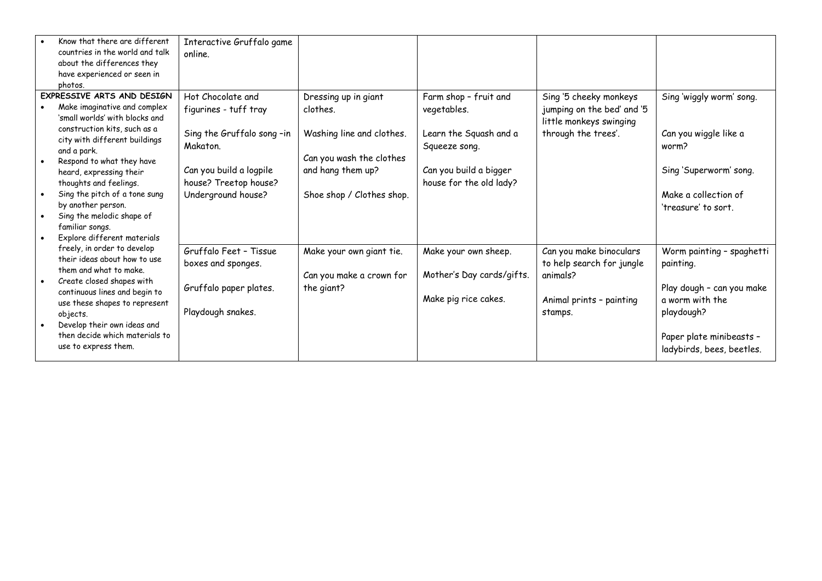|           | Know that there are different<br>countries in the world and talk<br>about the differences they<br>have experienced or seen in<br>photos.                                                                                                                                                                                 | Interactive Gruffalo game<br>online.                                                        |                                                                            |                                                                           |                                                                                                         |                                                                                                                                                               |
|-----------|--------------------------------------------------------------------------------------------------------------------------------------------------------------------------------------------------------------------------------------------------------------------------------------------------------------------------|---------------------------------------------------------------------------------------------|----------------------------------------------------------------------------|---------------------------------------------------------------------------|---------------------------------------------------------------------------------------------------------|---------------------------------------------------------------------------------------------------------------------------------------------------------------|
|           | EXPRESSIVE ARTS AND DESIGN<br>Make imaginative and complex<br>'small worlds' with blocks and<br>construction kits, such as a<br>city with different buildings                                                                                                                                                            | Hot Chocolate and<br>figurines - tuff tray<br>Sing the Gruffalo song-in                     | Dressing up in giant<br>clothes.<br>Washing line and clothes.              | Farm shop - fruit and<br>vegetables.<br>Learn the Squash and a            | Sing '5 cheeky monkeys<br>jumping on the bed' and '5<br>little monkeys swinging<br>through the trees'.  | Sing 'wiggly worm' song.<br>Can you wiggle like a                                                                                                             |
| $\bullet$ | and a park.<br>Respond to what they have<br>heard, expressing their<br>thoughts and feelings.<br>Sing the pitch of a tone sung<br>by another person.<br>Sing the melodic shape of<br>familiar songs.                                                                                                                     | Makaton.<br>Can you build a logpile<br>house? Treetop house?<br>Underground house?          | Can you wash the clothes<br>and hang them up?<br>Shoe shop / Clothes shop. | Squeeze song.<br>Can you build a bigger<br>house for the old lady?        |                                                                                                         | worm?<br>Sing 'Superworm' song.<br>Make a collection of<br>'treasure' to sort.                                                                                |
|           | Explore different materials<br>freely, in order to develop<br>their ideas about how to use<br>them and what to make.<br>Create closed shapes with<br>continuous lines and begin to<br>use these shapes to represent<br>objects.<br>Develop their own ideas and<br>then decide which materials to<br>use to express them. | Gruffalo Feet - Tissue<br>boxes and sponges.<br>Gruffalo paper plates.<br>Playdough snakes. | Make your own giant tie.<br>Can you make a crown for<br>the giant?         | Make your own sheep.<br>Mother's Day cards/gifts.<br>Make pig rice cakes. | Can you make binoculars<br>to help search for jungle<br>animals?<br>Animal prints - painting<br>stamps. | Worm painting - spaghetti<br>painting.<br>Play dough - can you make<br>a worm with the<br>playdough?<br>Paper plate minibeasts -<br>ladybirds, bees, beetles. |